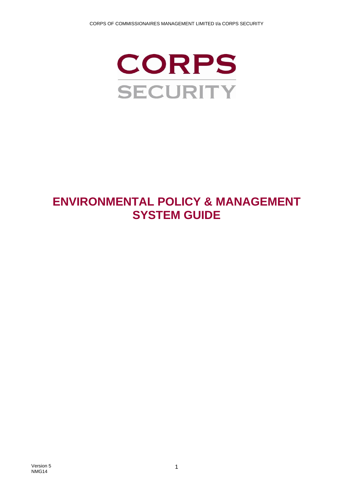

# **ENVIRONMENTAL POLICY & MANAGEMENT SYSTEM GUIDE**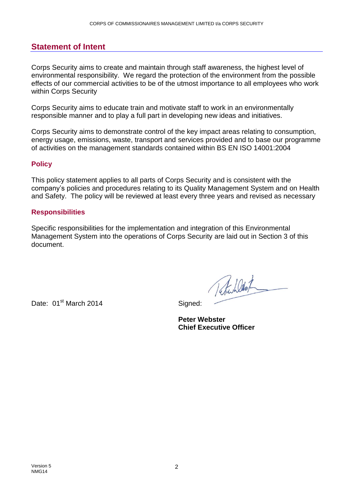## <span id="page-1-0"></span>**Statement of Intent**

Corps Security aims to create and maintain through staff awareness, the highest level of environmental responsibility. We regard the protection of the environment from the possible effects of our commercial activities to be of the utmost importance to all employees who work within Corps Security

Corps Security aims to educate train and motivate staff to work in an environmentally responsible manner and to play a full part in developing new ideas and initiatives.

Corps Security aims to demonstrate control of the key impact areas relating to consumption, energy usage, emissions, waste, transport and services provided and to base our programme of activities on the management standards contained within BS EN ISO 14001:2004

#### <span id="page-1-1"></span>**Policy**

This policy statement applies to all parts of Corps Security and is consistent with the company's policies and procedures relating to its Quality Management System and on Health and Safety. The policy will be reviewed at least every three years and revised as necessary

#### <span id="page-1-2"></span>**Responsibilities**

Specific responsibilities for the implementation and integration of this Environmental Management System into the operations of Corps Security are laid out in Section 3 of this document.

Date: 01<sup>st</sup> March 2014 **Signed:** 

Total Wat

**Peter Webster Chief Executive Officer**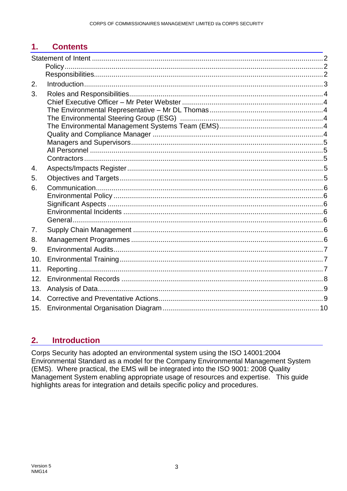#### **Contents**  $1.$

| 2.  |  |
|-----|--|
| 3.  |  |
|     |  |
|     |  |
|     |  |
|     |  |
|     |  |
|     |  |
|     |  |
| 4.  |  |
| 5.  |  |
| 6.  |  |
|     |  |
|     |  |
|     |  |
|     |  |
| 7.  |  |
| 8.  |  |
| 9.  |  |
| 10. |  |
| 11. |  |
| 12. |  |
| 13. |  |
| 14. |  |
| 15. |  |

#### <span id="page-2-0"></span>**Introduction**  $2.$

Corps Security has adopted an environmental system using the ISO 14001:2004 Environmental Standard as a model for the Company Environmental Management System (EMS). Where practical, the EMS will be integrated into the ISO 9001: 2008 Quality Management System enabling appropriate usage of resources and expertise. This guide highlights areas for integration and details specific policy and procedures.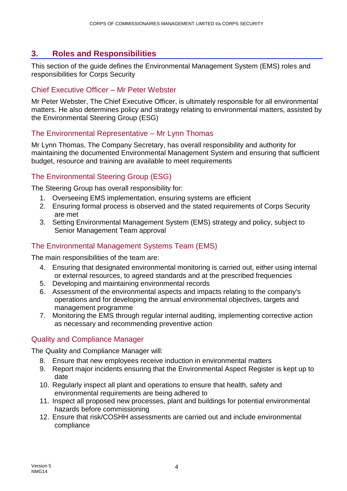## <span id="page-3-0"></span>**3. Roles and Responsibilities**

This section of the guide defines the Environmental Management System (EMS) roles and responsibilities for Corps Security

#### <span id="page-3-1"></span>Chief Executive Officer – Mr Peter Webster

Mr Peter Webster, The Chief Executive Officer, is ultimately responsible for all environmental matters. He also determines policy and strategy relating to environmental matters, assisted by the Environmental Steering Group (ESG)

#### <span id="page-3-2"></span>The Environmental Representative – Mr Lynn Thomas

Mr Lynn Thomas, The Company Secretary, has overall responsibility and authority for maintaining the documented Environmental Management System and ensuring that sufficient budget, resource and training are available to meet requirements

## <span id="page-3-3"></span>The Environmental Steering Group (ESG)

The Steering Group has overall responsibility for:

- 1. Overseeing EMS implementation, ensuring systems are efficient
- 2. Ensuring formal process is observed and the stated requirements of Corps Security are met
- 3. Setting Environmental Management System (EMS) strategy and policy, subject to Senior Management Team approval

### <span id="page-3-4"></span>The Environmental Management Systems Team (EMS)

The main responsibilities of the team are:

- 4. Ensuring that designated environmental monitoring is carried out, either using internal or external resources, to agreed standards and at the prescribed frequencies
- 5. Developing and maintaining environmental records
- 6. Assessment of the environmental aspects and impacts relating to the company's operations and for developing the annual environmental objectives, targets and management programme
- 7. Monitoring the EMS through regular internal auditing, implementing corrective action as necessary and recommending preventive action

### Quality and Compliance Manager

The Quality and Compliance Manager will:

- 8. Ensure that new employees receive induction in environmental matters
- 9. Report major incidents ensuring that the Environmental Aspect Register is kept up to date
- 10. Regularly inspect all plant and operations to ensure that health, safety and environmental requirements are being adhered to
- 11. Inspect all proposed new processes, plant and buildings for potential environmental hazards before commissioning
- 12. Ensure that risk/COSHH assessments are carried out and include environmental compliance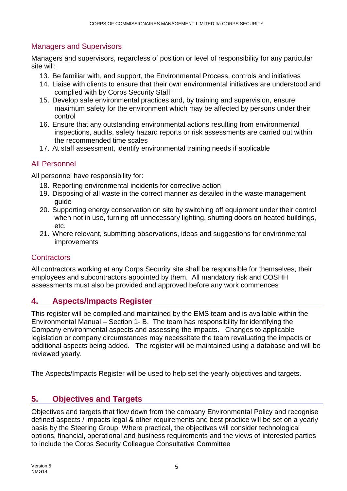## <span id="page-4-0"></span>Managers and Supervisors

Managers and supervisors, regardless of position or level of responsibility for any particular site will:

- 13. Be familiar with, and support, the Environmental Process, controls and initiatives
- 14. Liaise with clients to ensure that their own environmental initiatives are understood and complied with by Corps Security Staff
- 15. Develop safe environmental practices and, by training and supervision, ensure maximum safety for the environment which may be affected by persons under their control
- 16. Ensure that any outstanding environmental actions resulting from environmental inspections, audits, safety hazard reports or risk assessments are carried out within the recommended time scales
- 17. At staff assessment, identify environmental training needs if applicable

#### <span id="page-4-1"></span>All Personnel

All personnel have responsibility for:

- 18. Reporting environmental incidents for corrective action
- 19. Disposing of all waste in the correct manner as detailed in the waste management guide
- 20. Supporting energy conservation on site by switching off equipment under their control when not in use, turning off unnecessary lighting, shutting doors on heated buildings, etc.
- 21. Where relevant, submitting observations, ideas and suggestions for environmental improvements

### <span id="page-4-2"></span>**Contractors**

All contractors working at any Corps Security site shall be responsible for themselves, their employees and subcontractors appointed by them. All mandatory risk and COSHH assessments must also be provided and approved before any work commences

## <span id="page-4-3"></span>**4. Aspects/Impacts Register**

This register will be compiled and maintained by the EMS team and is available within the Environmental Manual – Section 1- B. The team has responsibility for identifying the Company environmental aspects and assessing the impacts. Changes to applicable legislation or company circumstances may necessitate the team revaluating the impacts or additional aspects being added. The register will be maintained using a database and will be reviewed yearly.

The Aspects/Impacts Register will be used to help set the yearly objectives and targets.

## <span id="page-4-4"></span>**5. Objectives and Targets**

Objectives and targets that flow down from the company Environmental Policy and recognise defined aspects / impacts legal & other requirements and best practice will be set on a yearly basis by the Steering Group. Where practical, the objectives will consider technological options, financial, operational and business requirements and the views of interested parties to include the Corps Security Colleague Consultative Committee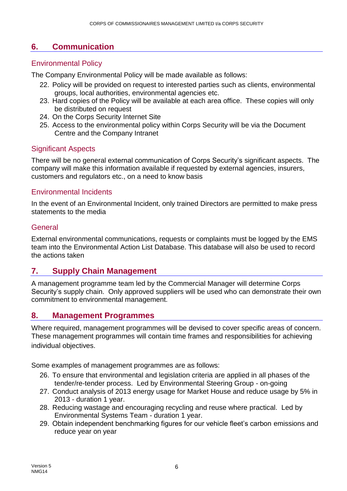## <span id="page-5-0"></span>**6. Communication**

## <span id="page-5-1"></span>Environmental Policy

The Company Environmental Policy will be made available as follows:

- 22. Policy will be provided on request to interested parties such as clients, environmental groups, local authorities, environmental agencies etc.
- 23. Hard copies of the Policy will be available at each area office. These copies will only be distributed on request
- 24. On the Corps Security Internet Site
- 25. Access to the environmental policy within Corps Security will be via the Document Centre and the Company Intranet

### <span id="page-5-2"></span>Significant Aspects

There will be no general external communication of Corps Security's significant aspects. The company will make this information available if requested by external agencies, insurers, customers and regulators etc., on a need to know basis

### <span id="page-5-3"></span>Environmental Incidents

In the event of an Environmental Incident, only trained Directors are permitted to make press statements to the media

### <span id="page-5-4"></span>General

External environmental communications, requests or complaints must be logged by the EMS team into the Environmental Action List Database. This database will also be used to record the actions taken

## <span id="page-5-5"></span>**7. Supply Chain Management**

A management programme team led by the Commercial Manager will determine Corps Security's supply chain. Only approved suppliers will be used who can demonstrate their own commitment to environmental management.

## <span id="page-5-6"></span>**8. Management Programmes**

Where required, management programmes will be devised to cover specific areas of concern. These management programmes will contain time frames and responsibilities for achieving individual objectives.

Some examples of management programmes are as follows:

- 26. To ensure that environmental and legislation criteria are applied in all phases of the tender/re-tender process. Led by Environmental Steering Group - on-going
- 27. Conduct analysis of 2013 energy usage for Market House and reduce usage by 5% in 2013 - duration 1 year.
- 28. Reducing wastage and encouraging recycling and reuse where practical. Led by Environmental Systems Team - duration 1 year.
- 29. Obtain independent benchmarking figures for our vehicle fleet's carbon emissions and reduce year on year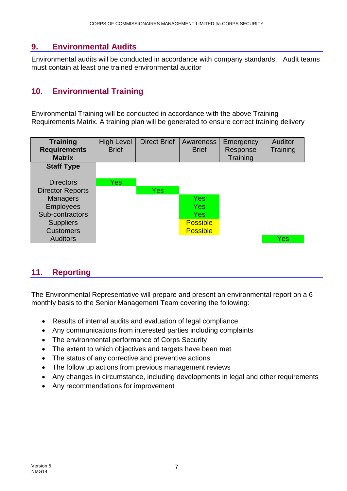## <span id="page-6-0"></span>**9. Environmental Audits**

Environmental audits will be conducted in accordance with company standards. Audit teams must contain at least one trained environmental auditor

## <span id="page-6-1"></span>**10. Environmental Training**

Environmental Training will be conducted in accordance with the above Training Requirements Matrix. A training plan will be generated to ensure correct training delivery



## <span id="page-6-2"></span>**11. Reporting**

The Environmental Representative will prepare and present an environmental report on a 6 monthly basis to the Senior Management Team covering the following:

- Results of internal audits and evaluation of legal compliance
- Any communications from interested parties including complaints
- The environmental performance of Corps Security
- The extent to which objectives and targets have been met
- The status of any corrective and preventive actions
- The follow up actions from previous management reviews
- Any changes in circumstance, including developments in legal and other requirements
- Any recommendations for improvement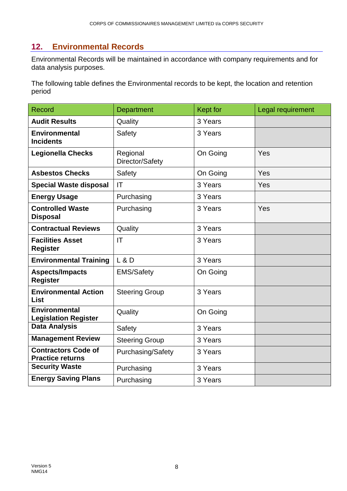## <span id="page-7-0"></span>**12. Environmental Records**

Environmental Records will be maintained in accordance with company requirements and for data analysis purposes.

The following table defines the Environmental records to be kept, the location and retention period

| <b>Record</b>                                         | Department                  | <b>Kept for</b> | Legal requirement |
|-------------------------------------------------------|-----------------------------|-----------------|-------------------|
| <b>Audit Results</b>                                  | Quality                     | 3 Years         |                   |
| <b>Environmental</b><br><b>Incidents</b>              | Safety                      | 3 Years         |                   |
| <b>Legionella Checks</b>                              | Regional<br>Director/Safety | On Going        | Yes               |
| <b>Asbestos Checks</b>                                | Safety                      | On Going        | Yes               |
| <b>Special Waste disposal</b>                         | IT                          | 3 Years         | Yes               |
| <b>Energy Usage</b>                                   | Purchasing                  | 3 Years         |                   |
| <b>Controlled Waste</b><br><b>Disposal</b>            | Purchasing                  | 3 Years         | Yes               |
| <b>Contractual Reviews</b>                            | Quality                     | 3 Years         |                   |
| <b>Facilities Asset</b><br><b>Register</b>            | IT                          | 3 Years         |                   |
| <b>Environmental Training</b>                         | L & D                       | 3 Years         |                   |
| <b>Aspects/Impacts</b><br><b>Register</b>             | <b>EMS/Safety</b>           | On Going        |                   |
| <b>Environmental Action</b><br><b>List</b>            | <b>Steering Group</b>       | 3 Years         |                   |
| <b>Environmental</b><br><b>Legislation Register</b>   | Quality                     | On Going        |                   |
| <b>Data Analysis</b>                                  | Safety                      | 3 Years         |                   |
| <b>Management Review</b>                              | <b>Steering Group</b>       | 3 Years         |                   |
| <b>Contractors Code of</b><br><b>Practice returns</b> | Purchasing/Safety           | 3 Years         |                   |
| <b>Security Waste</b>                                 | Purchasing                  | 3 Years         |                   |
| <b>Energy Saving Plans</b>                            | Purchasing                  | 3 Years         |                   |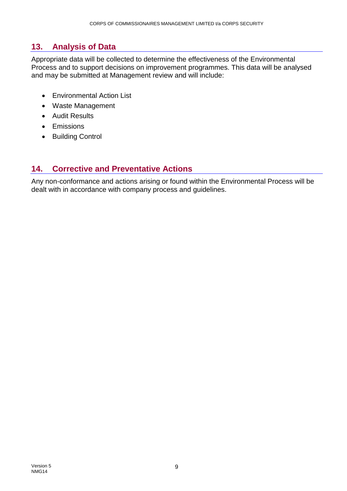## <span id="page-8-0"></span>**13. Analysis of Data**

Appropriate data will be collected to determine the effectiveness of the Environmental Process and to support decisions on improvement programmes. This data will be analysed and may be submitted at Management review and will include:

- Environmental Action List
- Waste Management
- Audit Results
- Emissions
- Building Control

## <span id="page-8-1"></span>**14. Corrective and Preventative Actions**

Any non-conformance and actions arising or found within the Environmental Process will be dealt with in accordance with company process and guidelines.